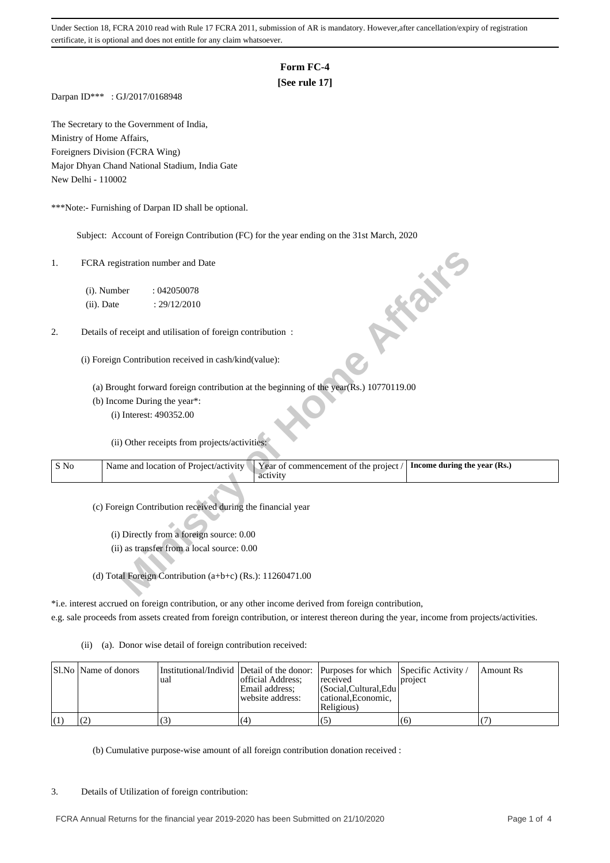## **Form FC-4**

# **[See rule 17]**

Darpan ID\*\*\* : GJ/2017/0168948

The Secretary to the Government of India, Ministry of Home Affairs, Foreigners Division (FCRA Wing) Major Dhyan Chand National Stadium, India Gate New Delhi - 110002

\*\*\*Note:- Furnishing of Darpan ID shall be optional.

Subject: Account of Foreign Contribution (FC) for the year ending on the 31st March, 2020

## 2. Details of receipt and utilisation of foreign contribution :

| 1.   | FCRA registration number and Date                                                                                          |
|------|----------------------------------------------------------------------------------------------------------------------------|
|      | (i). Number<br>:042050078                                                                                                  |
|      | <b>10 % %</b><br>(ii). Date<br>: 29/12/2010                                                                                |
| 2.   | Details of receipt and utilisation of foreign contribution :                                                               |
|      | (i) Foreign Contribution received in cash/kind(value):                                                                     |
|      | (a) Brought forward foreign contribution at the beginning of the year(Rs.) 10770119.00                                     |
|      | (b) Income During the year*:                                                                                               |
|      | (i) Interest: 490352.00                                                                                                    |
|      | (ii) Other receipts from projects/activities:                                                                              |
| S No | Name and location of Project/activity<br>Year of commencement of the project /<br>Income during the year (Rs.)<br>activity |
|      | (c) Foreign Contribution received during the financial year                                                                |
|      | (i) Directly from a foreign source: 0.00                                                                                   |
|      | (ii) as transfer from a local source: 0.00                                                                                 |
|      |                                                                                                                            |
|      | (d) Total Foreign Contribution (a+b+c) (Rs.): $11260471.00$                                                                |

\*i.e. interest accrued on foreign contribution, or any other income derived from foreign contribution,

e.g. sale proceeds from assets created from foreign contribution, or interest thereon during the year, income from projects/activities.

(ii) (a). Donor wise detail of foreign contribution received:

| Sl.No   Name of donors | 'ual | Institutional/Individ   Detail of the donor:   Purposes for which   Specific Activity /<br>official Address:<br>Email address:<br>website address: | received<br>  (Social.Cultural.Edu  <br>cational.Economic.<br>Religious) | project | Amount Rs |
|------------------------|------|----------------------------------------------------------------------------------------------------------------------------------------------------|--------------------------------------------------------------------------|---------|-----------|
|                        |      | (4)                                                                                                                                                | (5                                                                       | (6)     |           |

(b) Cumulative purpose-wise amount of all foreign contribution donation received :

### 3. Details of Utilization of foreign contribution: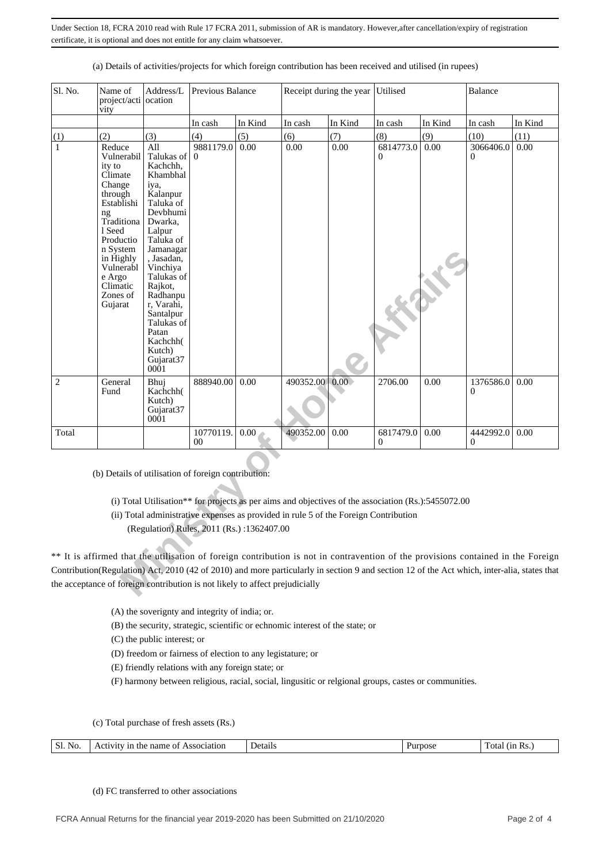| Sl. No.      | Name of<br>project/acti ocation<br>vity                                                                                                                                                                                                                                                                                                                                                                                 | Address/L                                                                                                                                                                                                                                                                                         | Previous Balance            |         |                                                                                      | Receipt during the year | Utilised                                                                                            |         | <b>Balance</b>        |         |
|--------------|-------------------------------------------------------------------------------------------------------------------------------------------------------------------------------------------------------------------------------------------------------------------------------------------------------------------------------------------------------------------------------------------------------------------------|---------------------------------------------------------------------------------------------------------------------------------------------------------------------------------------------------------------------------------------------------------------------------------------------------|-----------------------------|---------|--------------------------------------------------------------------------------------|-------------------------|-----------------------------------------------------------------------------------------------------|---------|-----------------------|---------|
|              |                                                                                                                                                                                                                                                                                                                                                                                                                         |                                                                                                                                                                                                                                                                                                   | In cash                     | In Kind | In cash                                                                              | In Kind                 | In cash                                                                                             | In Kind | In cash               | In Kind |
| (1)          | (2)                                                                                                                                                                                                                                                                                                                                                                                                                     | (3)                                                                                                                                                                                                                                                                                               | (4)                         | (5)     | (6)                                                                                  | (7)                     | (8)                                                                                                 | (9)     | (10)                  | (11)    |
| $\mathbf{1}$ | Reduce<br>Vulnerabil<br>ity to<br>Climate<br>Change<br>through<br>Establishi<br>ng<br>Traditiona<br>1 Seed<br>Productio<br>n System<br>in Highly<br>Vulnerabl<br>e Argo<br>Climatic<br>Zones of<br>Gujarat                                                                                                                                                                                                              | All<br>Talukas of<br>Kachchh,<br>Khambhal<br>iya,<br>Kalanpur<br>Taluka of<br>Devbhumi<br>Dwarka.<br>Lalpur<br>Taluka of<br>Jamanagar<br>, Jasadan,<br>Vinchiya<br>Talukas of<br>Rajkot,<br>Radhanpu<br>r, Varahi,<br>Santalpur<br>Talukas of<br>Patan<br>Kachchh(<br>Kutch)<br>Gujarat37<br>0001 | 9881179.0<br>$\mathbf{0}$   | 0.00    | 0.00                                                                                 | 0.00                    | 6814773.0<br>0                                                                                      | 0.00    | 3066406.0<br>0        | 0.00    |
| $\mathbf{2}$ | General<br>Fund                                                                                                                                                                                                                                                                                                                                                                                                         | Bhui<br>Kachchh(<br>Kutch)<br>Gujarat37<br>0001                                                                                                                                                                                                                                                   | 888940.00                   | 0.00    | 490352.00                                                                            | 0.00.                   | 2706.00                                                                                             | 0.00    | 1376586.0<br>0        | 0.00    |
| Total        |                                                                                                                                                                                                                                                                                                                                                                                                                         |                                                                                                                                                                                                                                                                                                   | 10770119.<br>0 <sup>0</sup> | 0.00    | 490352.00                                                                            | 0.00                    | 6817479.0<br>$\Omega$                                                                               | 0.00    | 4442992.0<br>$\Omega$ | 0.00    |
|              | (b) Details of utilisation of foreign contribution:<br>** It is affirmed that the utilisation of foreign contribution is not in contravention of the provisions contained in the Foreign<br>Contribution(Regulation) Act, 2010 (42 of 2010) and more particularly in section 9 and section 12 of the Act which, inter-alia, states that<br>the acceptance of foreign contribution is not likely to affect prejudicially | (Regulation) Rules, 2011 (Rs.):1362407.00                                                                                                                                                                                                                                                         |                             |         | (ii) Total administrative expenses as provided in rule 5 of the Foreign Contribution |                         | (i) Total Utilisation** for projects as per aims and objectives of the association (Rs.):5455072.00 |         |                       |         |

(a) Details of activities/projects for which foreign contribution has been received and utilised (in rupees)

(A) the soverignty and integrity of india; or.

(B) the security, strategic, scientific or echnomic interest of the state; or

(C) the public interest; or

- (D) freedom or fairness of election to any legistature; or
- (E) friendly relations with any foreign state; or

(F) harmony between religious, racial, social, lingusitic or relgional groups, castes or communities.

(c) Total purchase of fresh assets (Rs.)

| Sl.<br>No<br>Details<br>name<br>Association<br>(1n<br>urpose<br>ota<br>OТ<br>- une<br>ACTIVITY<br>IN 3. |  |
|---------------------------------------------------------------------------------------------------------|--|
|---------------------------------------------------------------------------------------------------------|--|

(d) FC transferred to other associations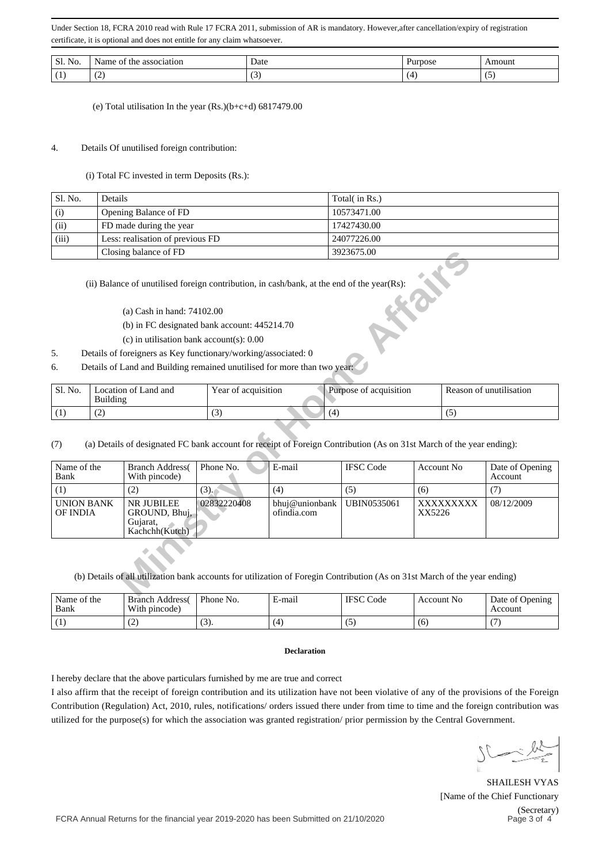| Sl.<br>NO. | <u>.</u><br>. | Date<br>$   -$ | . | oun |
|------------|---------------|----------------|---|-----|
|            | . <u>.</u>    | ◡              |   | ٠.  |

(e) Total utilisation In the year (Rs.)(b+c+d) 6817479.00

## 4. Details Of unutilised foreign contribution:

(i) Total FC invested in term Deposits (Rs.):

| Sl. No. | Details                          | Total( in Rs.) |
|---------|----------------------------------|----------------|
| (i)     | Opening Balance of FD            | 10573471.00    |
| (ii)    | FD made during the year          | 17427430.00    |
| (iii)   | Less: realisation of previous FD | 24077226.00    |
|         | Closing balance of FD            | 3923675.00     |

- 5. Details of foreigners as Key functionary/working/associated: 0
- 6. Details of Land and Building remained unutilised for more than two year:

| Sl. No. | Location of Land and<br>Building | Year of acquisition | .<br>Purpose of acquisition | Reason of unutilisation |
|---------|----------------------------------|---------------------|-----------------------------|-------------------------|
|         | ے ،                              | ັ                   | ۰4                          | ت                       |

|                                                                                                                                                                                                        | Closing balance of FD                                                                                                      |                     |        | 3923675.00                                        |                   |  |                            |  |
|--------------------------------------------------------------------------------------------------------------------------------------------------------------------------------------------------------|----------------------------------------------------------------------------------------------------------------------------|---------------------|--------|---------------------------------------------------|-------------------|--|----------------------------|--|
|                                                                                                                                                                                                        | (ii) Balance of unutilised foreign contribution, in cash/bank, at the end of the year(Rs):                                 |                     |        |                                                   |                   |  |                            |  |
|                                                                                                                                                                                                        | (a) Cash in hand: $74102.00$                                                                                               |                     |        |                                                   |                   |  |                            |  |
|                                                                                                                                                                                                        | (b) in FC designated bank account: 445214.70                                                                               |                     |        |                                                   |                   |  |                            |  |
|                                                                                                                                                                                                        | $(c)$ in utilisation bank account(s): 0.00                                                                                 |                     |        |                                                   |                   |  |                            |  |
| 5 <sub>1</sub>                                                                                                                                                                                         | Details of foreigners as Key functionary/working/associated: 0                                                             |                     |        |                                                   |                   |  |                            |  |
| 6.                                                                                                                                                                                                     | Details of Land and Building remained unutilised for more than two year:                                                   |                     |        |                                                   |                   |  |                            |  |
| Sl. No.<br>Building                                                                                                                                                                                    | Location of Land and                                                                                                       | Year of acquisition |        | Purpose of acquisition<br>Reason of unutilisation |                   |  |                            |  |
| (1)<br>(2)                                                                                                                                                                                             |                                                                                                                            | (3)                 |        | (4)                                               |                   |  | (5)                        |  |
| (7)                                                                                                                                                                                                    | (a) Details of designated FC bank account for receipt of Foreign Contribution (As on 31st March of the year ending):       |                     |        |                                                   |                   |  |                            |  |
| Name of the<br>Bank                                                                                                                                                                                    | <b>Branch Address</b><br>With pincode)                                                                                     | Phone No.           | E-mail | <b>IFSC Code</b>                                  | <b>Account No</b> |  | Date of Opening<br>Account |  |
| (1)                                                                                                                                                                                                    | (2)                                                                                                                        | (3).                | (4)    | (5)                                               | (6)               |  | (7)                        |  |
| 02832220408<br><b>UNION BANK</b><br>NR JUBILEE<br>UBIN0535061<br>08/12/2009<br>bhuj@unionbank<br>XXXXXXXXX<br>ofindia.com<br>XX5226<br><b>OF INDIA</b><br>GROUND, Bhuj,<br>Gujarat,<br>Kachchh (Kutch) |                                                                                                                            |                     |        |                                                   |                   |  |                            |  |
|                                                                                                                                                                                                        | (b) Details of all utilization bank accounts for utilization of Foregin Contribution (As on 31st March of the year ending) |                     |        |                                                   |                   |  |                            |  |

| Name of the<br>Bank | <b>Branch Address</b><br>With pincode) | Phone No. | – mail | <b>IFSC</b><br>Code | <b>Account No</b> | Date of Opening<br>Account |
|---------------------|----------------------------------------|-----------|--------|---------------------|-------------------|----------------------------|
|                     | ∸                                      | (S).      | (4)    | L)                  | (b                |                            |

#### **Declaration**

I hereby declare that the above particulars furnished by me are true and correct

I also affirm that the receipt of foreign contribution and its utilization have not been violative of any of the provisions of the Foreign Contribution (Regulation) Act, 2010, rules, notifications/ orders issued there under from time to time and the foreign contribution was utilized for the purpose(s) for which the association was granted registration/ prior permission by the Central Government.

SHAILESH VYAS [Name of the Chief Functionary (Secretary) Page 3 of 4